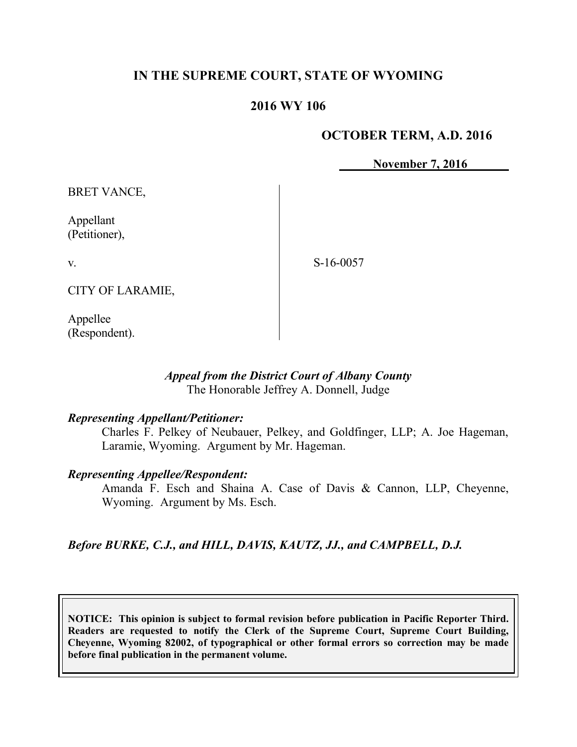# **IN THE SUPREME COURT, STATE OF WYOMING**

# **2016 WY 106**

## **OCTOBER TERM, A.D. 2016**

**November 7, 2016**

BRET VANCE,

Appellant (Petitioner),

v.

S-16-0057

CITY OF LARAMIE,

Appellee (Respondent).

## *Appeal from the District Court of Albany County* The Honorable Jeffrey A. Donnell, Judge

## *Representing Appellant/Petitioner:*

Charles F. Pelkey of Neubauer, Pelkey, and Goldfinger, LLP; A. Joe Hageman, Laramie, Wyoming. Argument by Mr. Hageman.

#### *Representing Appellee/Respondent:*

Amanda F. Esch and Shaina A. Case of Davis & Cannon, LLP, Cheyenne, Wyoming. Argument by Ms. Esch.

# *Before BURKE, C.J., and HILL, DAVIS, KAUTZ, JJ., and CAMPBELL, D.J.*

**NOTICE: This opinion is subject to formal revision before publication in Pacific Reporter Third. Readers are requested to notify the Clerk of the Supreme Court, Supreme Court Building, Cheyenne, Wyoming 82002, of typographical or other formal errors so correction may be made before final publication in the permanent volume.**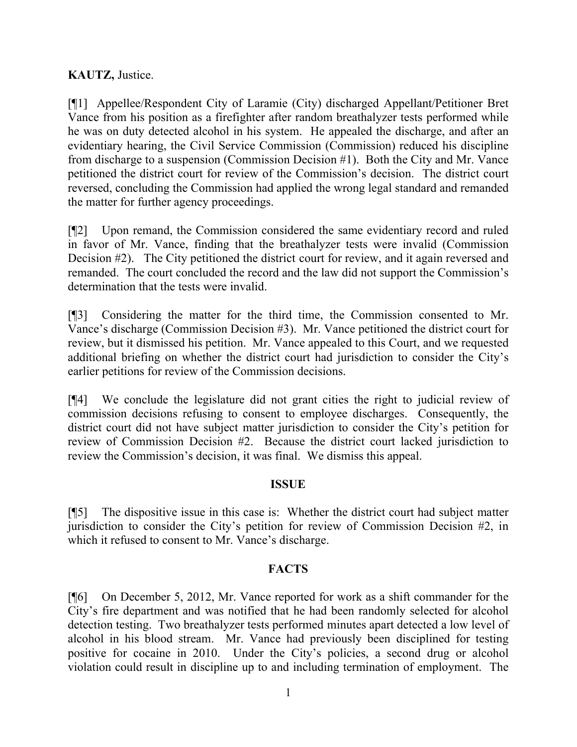# **KAUTZ,** Justice.

[¶1] Appellee/Respondent City of Laramie (City) discharged Appellant/Petitioner Bret Vance from his position as a firefighter after random breathalyzer tests performed while he was on duty detected alcohol in his system. He appealed the discharge, and after an evidentiary hearing, the Civil Service Commission (Commission) reduced his discipline from discharge to a suspension (Commission Decision #1). Both the City and Mr. Vance petitioned the district court for review of the Commission's decision. The district court reversed, concluding the Commission had applied the wrong legal standard and remanded the matter for further agency proceedings.

[¶2] Upon remand, the Commission considered the same evidentiary record and ruled in favor of Mr. Vance, finding that the breathalyzer tests were invalid (Commission Decision #2). The City petitioned the district court for review, and it again reversed and remanded. The court concluded the record and the law did not support the Commission's determination that the tests were invalid.

[¶3] Considering the matter for the third time, the Commission consented to Mr. Vance's discharge (Commission Decision #3). Mr. Vance petitioned the district court for review, but it dismissed his petition. Mr. Vance appealed to this Court, and we requested additional briefing on whether the district court had jurisdiction to consider the City's earlier petitions for review of the Commission decisions.

[¶4] We conclude the legislature did not grant cities the right to judicial review of commission decisions refusing to consent to employee discharges. Consequently, the district court did not have subject matter jurisdiction to consider the City's petition for review of Commission Decision #2. Because the district court lacked jurisdiction to review the Commission's decision, it was final. We dismiss this appeal.

### **ISSUE**

[¶5] The dispositive issue in this case is: Whether the district court had subject matter jurisdiction to consider the City's petition for review of Commission Decision #2, in which it refused to consent to Mr. Vance's discharge.

### **FACTS**

[¶6] On December 5, 2012, Mr. Vance reported for work as a shift commander for the City's fire department and was notified that he had been randomly selected for alcohol detection testing. Two breathalyzer tests performed minutes apart detected a low level of alcohol in his blood stream. Mr. Vance had previously been disciplined for testing positive for cocaine in 2010. Under the City's policies, a second drug or alcohol violation could result in discipline up to and including termination of employment. The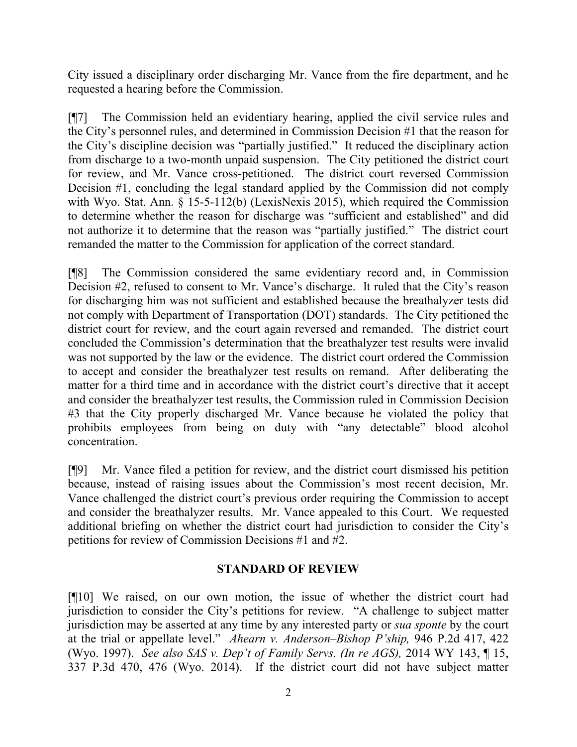City issued a disciplinary order discharging Mr. Vance from the fire department, and he requested a hearing before the Commission.

[¶7] The Commission held an evidentiary hearing, applied the civil service rules and the City's personnel rules, and determined in Commission Decision #1 that the reason for the City's discipline decision was "partially justified." It reduced the disciplinary action from discharge to a two-month unpaid suspension. The City petitioned the district court for review, and Mr. Vance cross-petitioned. The district court reversed Commission Decision #1, concluding the legal standard applied by the Commission did not comply with Wyo. Stat. Ann. § 15-5-112(b) (LexisNexis 2015), which required the Commission to determine whether the reason for discharge was "sufficient and established" and did not authorize it to determine that the reason was "partially justified." The district court remanded the matter to the Commission for application of the correct standard.

[¶8] The Commission considered the same evidentiary record and, in Commission Decision #2, refused to consent to Mr. Vance's discharge. It ruled that the City's reason for discharging him was not sufficient and established because the breathalyzer tests did not comply with Department of Transportation (DOT) standards. The City petitioned the district court for review, and the court again reversed and remanded. The district court concluded the Commission's determination that the breathalyzer test results were invalid was not supported by the law or the evidence. The district court ordered the Commission to accept and consider the breathalyzer test results on remand. After deliberating the matter for a third time and in accordance with the district court's directive that it accept and consider the breathalyzer test results, the Commission ruled in Commission Decision #3 that the City properly discharged Mr. Vance because he violated the policy that prohibits employees from being on duty with "any detectable" blood alcohol concentration.

[¶9] Mr. Vance filed a petition for review, and the district court dismissed his petition because, instead of raising issues about the Commission's most recent decision, Mr. Vance challenged the district court's previous order requiring the Commission to accept and consider the breathalyzer results. Mr. Vance appealed to this Court. We requested additional briefing on whether the district court had jurisdiction to consider the City's petitions for review of Commission Decisions #1 and #2.

# **STANDARD OF REVIEW**

[¶10] We raised, on our own motion, the issue of whether the district court had jurisdiction to consider the City's petitions for review. "A challenge to subject matter jurisdiction may be asserted at any time by any interested party or *sua sponte* by the court at the trial or appellate level." *Ahearn v. Anderson–Bishop P'ship,* 946 P.2d 417, 422 (Wyo. 1997). *See also SAS v. Dep't of Family Servs. (In re AGS),* 2014 WY 143, ¶ 15, 337 P.3d 470, 476 (Wyo. 2014). If the district court did not have subject matter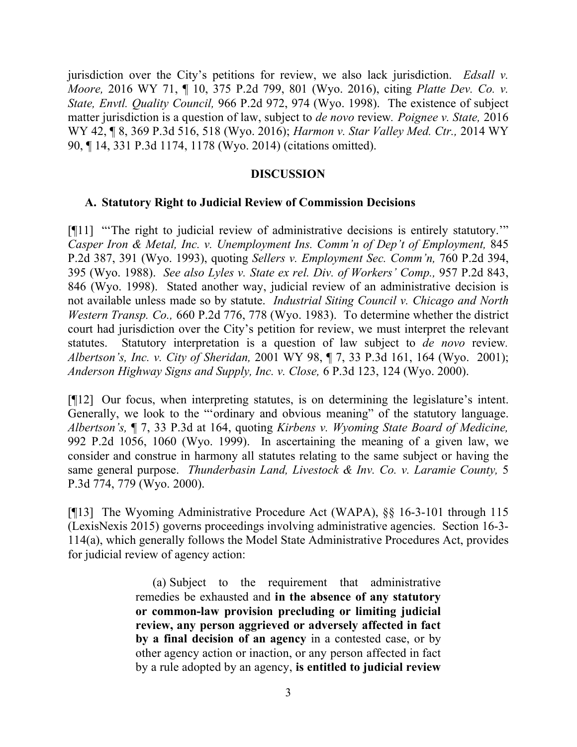jurisdiction over the City's petitions for review, we also lack jurisdiction. *Edsall v. Moore,* 2016 WY 71, ¶ 10, 375 P.2d 799, 801 (Wyo. 2016), citing *Platte Dev. Co. v. State, Envtl. Quality Council,* 966 P.2d 972, 974 (Wyo. 1998).The existence of subject matter jurisdiction is a question of law, subject to *de novo* review*. Poignee v. State,* 2016 WY 42, ¶ 8, 369 P.3d 516, 518 (Wyo. 2016); *Harmon v. Star Valley Med. Ctr.,* 2014 WY 90, ¶ 14, 331 P.3d 1174, 1178 (Wyo. 2014) (citations omitted).

#### **DISCUSSION**

#### **A. Statutory Right to Judicial Review of Commission Decisions**

[¶11] "'The right to judicial review of administrative decisions is entirely statutory.'" *Casper Iron & Metal, Inc. v. Unemployment Ins. Comm'n of Dep't of Employment,* 845 P.2d 387, 391 (Wyo. 1993), quoting *Sellers v. Employment Sec. Comm'n,* 760 P.2d 394, 395 (Wyo. 1988). *See also Lyles v. State ex rel. Div. of Workers' Comp.,* 957 P.2d 843, 846 (Wyo. 1998). Stated another way, judicial review of an administrative decision is not available unless made so by statute. *Industrial Siting Council v. Chicago and North Western Transp. Co.,* 660 P.2d 776, 778 (Wyo. 1983). To determine whether the district court had jurisdiction over the City's petition for review, we must interpret the relevant statutes. Statutory interpretation is a question of law subject to *de novo* review*. Albertson's, Inc. v. City of Sheridan,* 2001 WY 98, ¶ 7, 33 P.3d 161, 164 (Wyo. 2001); *Anderson Highway Signs and Supply, Inc. v. Close,* 6 P.3d 123, 124 (Wyo. 2000).

[¶12] Our focus, when interpreting statutes, is on determining the legislature's intent. Generally, we look to the "'ordinary and obvious meaning" of the statutory language. *Albertson's,* ¶ 7, 33 P.3d at 164, quoting *Kirbens v. Wyoming State Board of Medicine,* 992 P.2d 1056, 1060 (Wyo. 1999). In ascertaining the meaning of a given law, we consider and construe in harmony all statutes relating to the same subject or having the same general purpose. *Thunderbasin Land, Livestock & Inv. Co. v. Laramie County,* 5 P.3d 774, 779 (Wyo. 2000).

[¶13] The Wyoming Administrative Procedure Act (WAPA), §§ 16-3-101 through 115 (LexisNexis 2015) governs proceedings involving administrative agencies. Section 16-3- 114(a), which generally follows the Model State Administrative Procedures Act, provides for judicial review of agency action:

> (a) Subject to the requirement that administrative remedies be exhausted and **in the absence of any statutory or common-law provision precluding or limiting judicial review, any person aggrieved or adversely affected in fact by a final decision of an agency** in a contested case, or by other agency action or inaction, or any person affected in fact by a rule adopted by an agency, **is entitled to judicial review**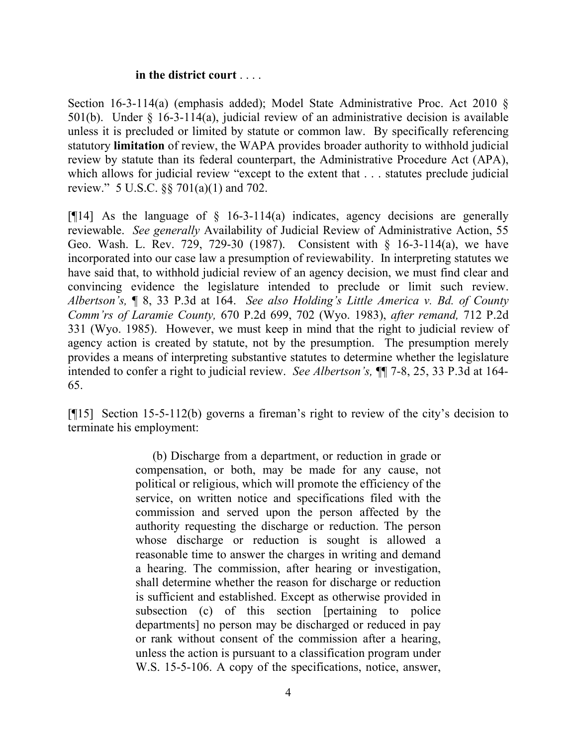#### **in the district court** . . . .

Section 16-3-114(a) (emphasis added); Model State Administrative Proc. Act 2010 § 501(b). Under § 16-3-114(a), judicial review of an administrative decision is available unless it is precluded or limited by statute or common law. By specifically referencing statutory **limitation** of review, the WAPA provides broader authority to withhold judicial review by statute than its federal counterpart, the Administrative Procedure Act (APA), which allows for judicial review "except to the extent that . . . statutes preclude judicial review." 5 U.S.C. §§ 701(a)(1) and 702.

[ $[14]$  As the language of  $\S$  16-3-114(a) indicates, agency decisions are generally reviewable. *See generally* Availability of Judicial Review of Administrative Action, 55 Geo. Wash. L. Rev. 729, 729-30 (1987). Consistent with § 16-3-114(a), we have incorporated into our case law a presumption of reviewability. In interpreting statutes we have said that, to withhold judicial review of an agency decision, we must find clear and convincing evidence the legislature intended to preclude or limit such review. *Albertson's,* ¶ 8, 33 P.3d at 164. *See also Holding's Little America v. Bd. of County Comm'rs of Laramie County,* 670 P.2d 699, 702 (Wyo. 1983), *after remand,* 712 P.2d 331 (Wyo. 1985). However, we must keep in mind that the right to judicial review of agency action is created by statute, not by the presumption. The presumption merely provides a means of interpreting substantive statutes to determine whether the legislature intended to confer a right to judicial review. *See Albertson's,* ¶¶ 7-8, 25, 33 P.3d at 164- 65.

[¶15] Section 15-5-112(b) governs a fireman's right to review of the city's decision to terminate his employment:

> (b) Discharge from a department, or reduction in grade or compensation, or both, may be made for any cause, not political or religious, which will promote the efficiency of the service, on written notice and specifications filed with the commission and served upon the person affected by the authority requesting the discharge or reduction. The person whose discharge or reduction is sought is allowed a reasonable time to answer the charges in writing and demand a hearing. The commission, after hearing or investigation, shall determine whether the reason for discharge or reduction is sufficient and established. Except as otherwise provided in subsection (c) of this section [pertaining to police departments] no person may be discharged or reduced in pay or rank without consent of the commission after a hearing, unless the action is pursuant to a classification program under W.S. 15-5-106. A copy of the specifications, notice, answer,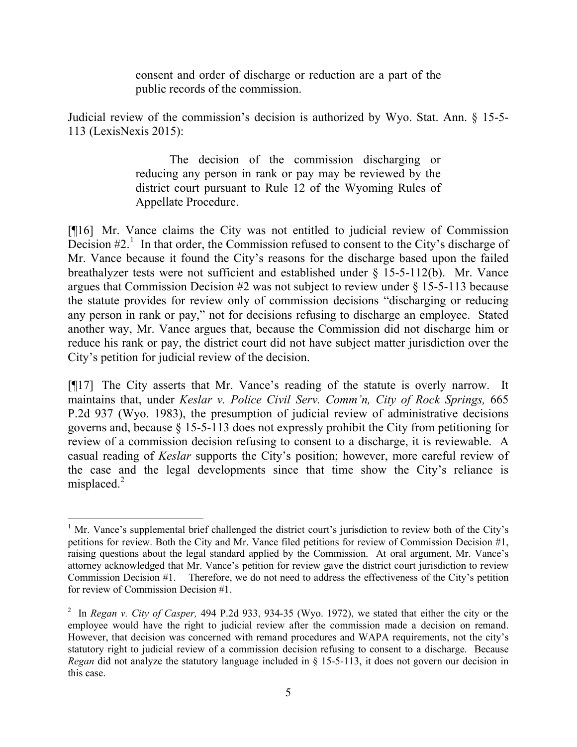consent and order of discharge or reduction are a part of the public records of the commission.

Judicial review of the commission's decision is authorized by Wyo. Stat. Ann. § 15-5- 113 (LexisNexis 2015):

> The decision of the commission discharging or reducing any person in rank or pay may be reviewed by the district court pursuant to Rule 12 of the Wyoming Rules of Appellate Procedure.

[¶16] Mr. Vance claims the City was not entitled to judicial review of Commission Decision  $#2<sup>1</sup>$ . In that order, the Commission refused to consent to the City's discharge of Mr. Vance because it found the City's reasons for the discharge based upon the failed breathalyzer tests were not sufficient and established under § 15-5-112(b). Mr. Vance argues that Commission Decision #2 was not subject to review under § 15-5-113 because the statute provides for review only of commission decisions "discharging or reducing any person in rank or pay," not for decisions refusing to discharge an employee. Stated another way, Mr. Vance argues that, because the Commission did not discharge him or reduce his rank or pay, the district court did not have subject matter jurisdiction over the City's petition for judicial review of the decision.

[¶17] The City asserts that Mr. Vance's reading of the statute is overly narrow. It maintains that, under *Keslar v. Police Civil Serv. Comm'n, City of Rock Springs,* 665 P.2d 937 (Wyo. 1983), the presumption of judicial review of administrative decisions governs and, because § 15-5-113 does not expressly prohibit the City from petitioning for review of a commission decision refusing to consent to a discharge, it is reviewable. A casual reading of *Keslar* supports the City's position; however, more careful review of the case and the legal developments since that time show the City's reliance is misplaced. $2$ 

 $\overline{a}$ <sup>1</sup> Mr. Vance's supplemental brief challenged the district court's jurisdiction to review both of the City's petitions for review. Both the City and Mr. Vance filed petitions for review of Commission Decision #1, raising questions about the legal standard applied by the Commission. At oral argument, Mr. Vance's attorney acknowledged that Mr. Vance's petition for review gave the district court jurisdiction to review Commission Decision #1. Therefore, we do not need to address the effectiveness of the City's petition for review of Commission Decision #1.

<sup>&</sup>lt;sup>2</sup> In *Regan v. City of Casper*, 494 P.2d 933, 934-35 (Wyo. 1972), we stated that either the city or the employee would have the right to judicial review after the commission made a decision on remand. However, that decision was concerned with remand procedures and WAPA requirements, not the city's statutory right to judicial review of a commission decision refusing to consent to a discharge. Because *Regan* did not analyze the statutory language included in § 15-5-113, it does not govern our decision in this case.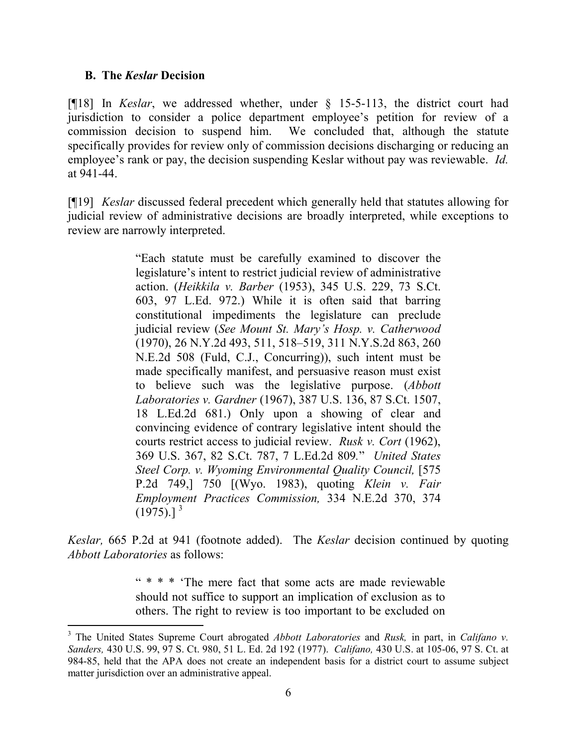## **B. The** *Keslar* **Decision**

l

[¶18] In *Keslar*, we addressed whether, under § 15-5-113, the district court had jurisdiction to consider a police department employee's petition for review of a commission decision to suspend him. We concluded that, although the statute specifically provides for review only of commission decisions discharging or reducing an employee's rank or pay, the decision suspending Keslar without pay was reviewable. *Id.*  at 941-44.

[¶19] *Keslar* discussed federal precedent which generally held that statutes allowing for judicial review of administrative decisions are broadly interpreted, while exceptions to review are narrowly interpreted.

> "Each statute must be carefully examined to discover the legislature's intent to restrict judicial review of administrative action. (*Heikkila v. Barber* (1953), 345 U.S. 229, 73 S.Ct. 603, 97 L.Ed. 972.) While it is often said that barring constitutional impediments the legislature can preclude judicial review (*See Mount St. Mary's Hosp. v. Catherwood* (1970), 26 N.Y.2d 493, 511, 518–519, 311 N.Y.S.2d 863, 260 N.E.2d 508 (Fuld, C.J., Concurring)), such intent must be made specifically manifest, and persuasive reason must exist to believe such was the legislative purpose. (*Abbott Laboratories v. Gardner* (1967), 387 U.S. 136, 87 S.Ct. 1507, 18 L.Ed.2d 681.) Only upon a showing of clear and convincing evidence of contrary legislative intent should the courts restrict access to judicial review. *Rusk v. Cort* (1962), 369 U.S. 367, 82 S.Ct. 787, 7 L.Ed.2d 809*.*" *United States Steel Corp. v. Wyoming Environmental Quality Council,* [575] P.2d 749,] 750 [(Wyo. 1983), quoting *Klein v. Fair Employment Practices Commission,* 334 N.E.2d 370, 374  $(1975).$ ]<sup>3</sup>

*Keslar,* 665 P.2d at 941 (footnote added). The *Keslar* decision continued by quoting *Abbott Laboratories* as follows:

> " \* \* \* 'The mere fact that some acts are made reviewable should not suffice to support an implication of exclusion as to others. The right to review is too important to be excluded on

<sup>3</sup> The United States Supreme Court abrogated *Abbott Laboratories* and *Rusk,* in part, in *Califano v. Sanders,* 430 U.S. 99, 97 S. Ct. 980, 51 L. Ed. 2d 192 (1977). *Califano,* 430 U.S. at 105-06, 97 S. Ct. at 984-85, held that the APA does not create an independent basis for a district court to assume subject matter jurisdiction over an administrative appeal.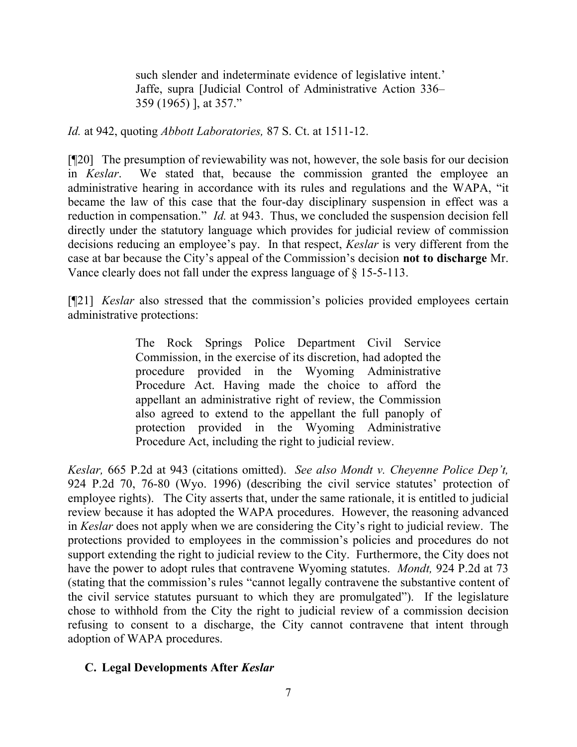such slender and indeterminate evidence of legislative intent.' Jaffe, supra [Judicial Control of Administrative Action 336– 359 (1965) ], at 357."

*Id.* at 942, quoting *Abbott Laboratories,* 87 S. Ct. at 1511-12.

[¶20] The presumption of reviewability was not, however, the sole basis for our decision in *Keslar*. We stated that, because the commission granted the employee an administrative hearing in accordance with its rules and regulations and the WAPA, "it became the law of this case that the four-day disciplinary suspension in effect was a reduction in compensation." *Id.* at 943. Thus, we concluded the suspension decision fell directly under the statutory language which provides for judicial review of commission decisions reducing an employee's pay. In that respect, *Keslar* is very different from the case at bar because the City's appeal of the Commission's decision **not to discharge** Mr. Vance clearly does not fall under the express language of § 15-5-113.

[¶21] *Keslar* also stressed that the commission's policies provided employees certain administrative protections:

> The Rock Springs Police Department Civil Service Commission, in the exercise of its discretion, had adopted the procedure provided in the Wyoming Administrative Procedure Act. Having made the choice to afford the appellant an administrative right of review, the Commission also agreed to extend to the appellant the full panoply of protection provided in the Wyoming Administrative Procedure Act, including the right to judicial review.

*Keslar,* 665 P.2d at 943 (citations omitted). *See also Mondt v. Cheyenne Police Dep't,*  924 P.2d 70, 76-80 (Wyo. 1996) (describing the civil service statutes' protection of employee rights). The City asserts that, under the same rationale, it is entitled to judicial review because it has adopted the WAPA procedures. However, the reasoning advanced in *Keslar* does not apply when we are considering the City's right to judicial review. The protections provided to employees in the commission's policies and procedures do not support extending the right to judicial review to the City. Furthermore, the City does not have the power to adopt rules that contravene Wyoming statutes. *Mondt,* 924 P.2d at 73 (stating that the commission's rules "cannot legally contravene the substantive content of the civil service statutes pursuant to which they are promulgated"). If the legislature chose to withhold from the City the right to judicial review of a commission decision refusing to consent to a discharge, the City cannot contravene that intent through adoption of WAPA procedures.

# **C. Legal Developments After** *Keslar*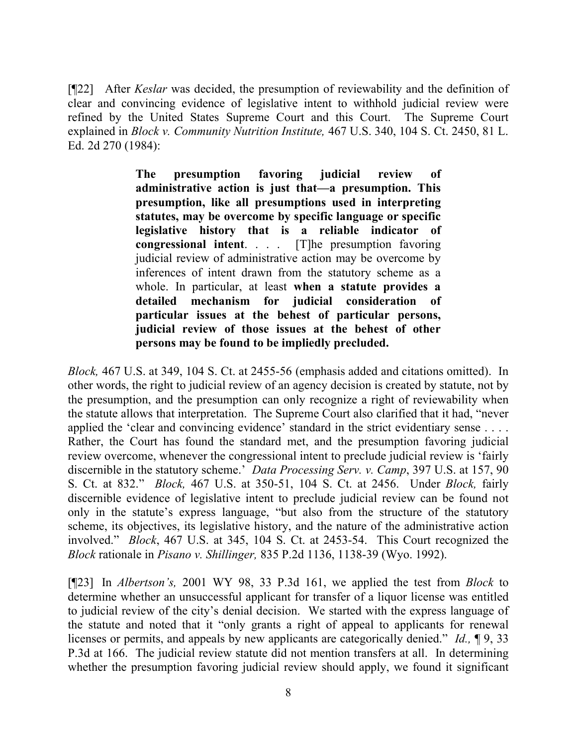[¶22] After *Keslar* was decided, the presumption of reviewability and the definition of clear and convincing evidence of legislative intent to withhold judicial review were refined by the United States Supreme Court and this Court. The Supreme Court explained in *Block v. Community Nutrition Institute,* 467 U.S. 340, 104 S. Ct. 2450, 81 L. Ed. 2d 270 (1984):

> **The presumption favoring judicial review of administrative action is just that—a presumption. This presumption, like all presumptions used in interpreting statutes, may be overcome by specific language or specific legislative history that is a reliable indicator of congressional intent**. . . . [T]he presumption favoring judicial review of administrative action may be overcome by inferences of intent drawn from the statutory scheme as a whole. In particular, at least **when a statute provides a detailed mechanism for judicial consideration of particular issues at the behest of particular persons, judicial review of those issues at the behest of other persons may be found to be impliedly precluded.**

*Block,* 467 U.S. at 349, 104 S. Ct. at 2455-56 (emphasis added and citations omitted). In other words, the right to judicial review of an agency decision is created by statute, not by the presumption, and the presumption can only recognize a right of reviewability when the statute allows that interpretation. The Supreme Court also clarified that it had, "never applied the 'clear and convincing evidence' standard in the strict evidentiary sense . . . . Rather, the Court has found the standard met, and the presumption favoring judicial review overcome, whenever the congressional intent to preclude judicial review is 'fairly discernible in the statutory scheme.' *Data Processing Serv. v. Camp*, 397 U.S. at 157, 90 S. Ct. at 832." *Block,* 467 U.S. at 350-51, 104 S. Ct. at 2456.Under *Block,* fairly discernible evidence of legislative intent to preclude judicial review can be found not only in the statute's express language, "but also from the structure of the statutory scheme, its objectives, its legislative history, and the nature of the administrative action involved." *Block*, 467 U.S. at 345, 104 S. Ct. at 2453-54. This Court recognized the *Block* rationale in *Pisano v. Shillinger,* 835 P.2d 1136, 1138-39 (Wyo. 1992).

[¶23] In *Albertson's,* 2001 WY 98, 33 P.3d 161, we applied the test from *Block* to determine whether an unsuccessful applicant for transfer of a liquor license was entitled to judicial review of the city's denial decision.We started with the express language of the statute and noted that it "only grants a right of appeal to applicants for renewal licenses or permits, and appeals by new applicants are categorically denied." *Id.,* ¶ 9, 33 P.3d at 166. The judicial review statute did not mention transfers at all. In determining whether the presumption favoring judicial review should apply, we found it significant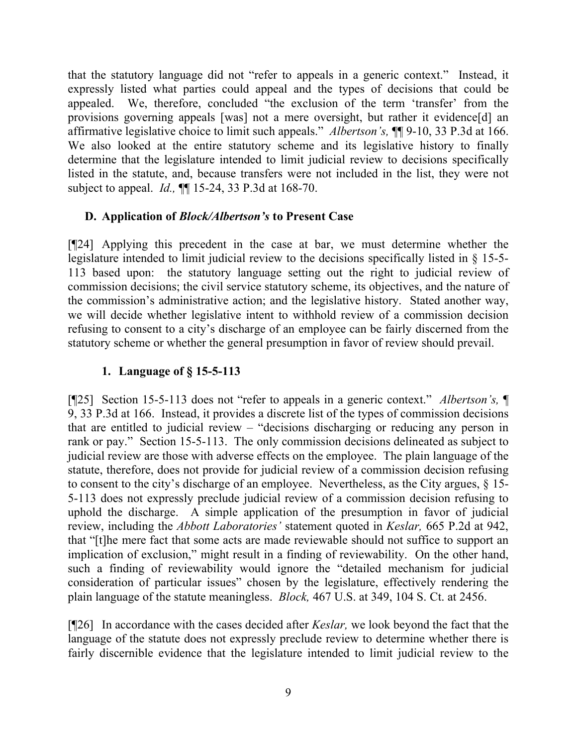that the statutory language did not "refer to appeals in a generic context." Instead, it expressly listed what parties could appeal and the types of decisions that could be appealed. We, therefore, concluded "the exclusion of the term 'transfer' from the provisions governing appeals [was] not a mere oversight, but rather it evidence[d] an affirmative legislative choice to limit such appeals." *Albertson's,* ¶¶ 9-10, 33 P.3d at 166. We also looked at the entire statutory scheme and its legislative history to finally determine that the legislature intended to limit judicial review to decisions specifically listed in the statute, and, because transfers were not included in the list, they were not subject to appeal. *Id.,* ¶¶ 15-24, 33 P.3d at 168-70.

# **D. Application of** *Block/Albertson's* **to Present Case**

[¶24] Applying this precedent in the case at bar, we must determine whether the legislature intended to limit judicial review to the decisions specifically listed in § 15-5- 113 based upon: the statutory language setting out the right to judicial review of commission decisions; the civil service statutory scheme, its objectives, and the nature of the commission's administrative action; and the legislative history. Stated another way, we will decide whether legislative intent to withhold review of a commission decision refusing to consent to a city's discharge of an employee can be fairly discerned from the statutory scheme or whether the general presumption in favor of review should prevail.

# **1. Language of § 15-5-113**

[¶25] Section 15-5-113 does not "refer to appeals in a generic context." *Albertson's,* ¶ 9, 33 P.3d at 166. Instead, it provides a discrete list of the types of commission decisions that are entitled to judicial review – "decisions discharging or reducing any person in rank or pay." Section 15-5-113. The only commission decisions delineated as subject to judicial review are those with adverse effects on the employee. The plain language of the statute, therefore, does not provide for judicial review of a commission decision refusing to consent to the city's discharge of an employee. Nevertheless, as the City argues, § 15- 5-113 does not expressly preclude judicial review of a commission decision refusing to uphold the discharge. A simple application of the presumption in favor of judicial review, including the *Abbott Laboratories'* statement quoted in *Keslar,* 665 P.2d at 942, that "[t]he mere fact that some acts are made reviewable should not suffice to support an implication of exclusion," might result in a finding of reviewability. On the other hand, such a finding of reviewability would ignore the "detailed mechanism for judicial consideration of particular issues" chosen by the legislature, effectively rendering the plain language of the statute meaningless. *Block,* 467 U.S. at 349, 104 S. Ct. at 2456.

[¶26] In accordance with the cases decided after *Keslar,* we look beyond the fact that the language of the statute does not expressly preclude review to determine whether there is fairly discernible evidence that the legislature intended to limit judicial review to the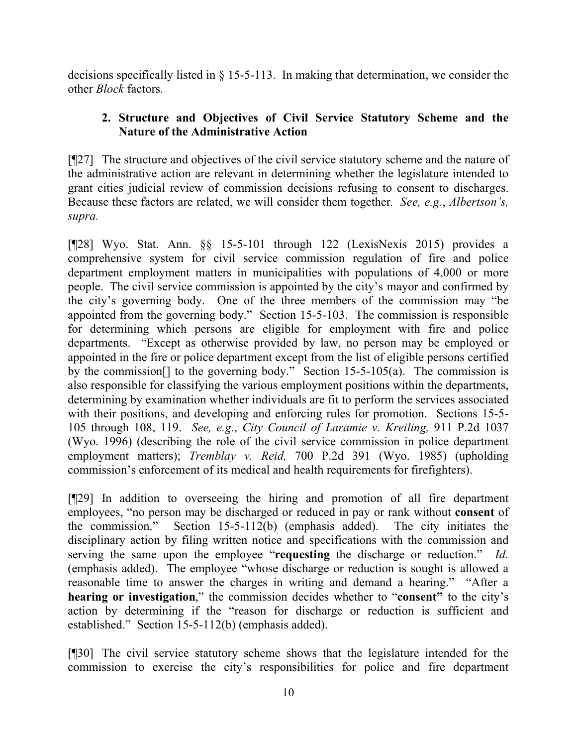decisions specifically listed in § 15-5-113. In making that determination, we consider the other *Block* factors*.*

# **2. Structure and Objectives of Civil Service Statutory Scheme and the Nature of the Administrative Action**

[¶27] The structure and objectives of the civil service statutory scheme and the nature of the administrative action are relevant in determining whether the legislature intended to grant cities judicial review of commission decisions refusing to consent to discharges. Because these factors are related, we will consider them together*. See, e.g.*, *Albertson's, supra.* 

[¶28] Wyo. Stat. Ann. §§ 15-5-101 through 122 (LexisNexis 2015) provides a comprehensive system for civil service commission regulation of fire and police department employment matters in municipalities with populations of 4,000 or more people. The civil service commission is appointed by the city's mayor and confirmed by the city's governing body. One of the three members of the commission may "be appointed from the governing body." Section 15-5-103. The commission is responsible for determining which persons are eligible for employment with fire and police departments. "Except as otherwise provided by law, no person may be employed or appointed in the fire or police department except from the list of eligible persons certified by the commission<sup>[]</sup> to the governing body." Section 15-5-105(a). The commission is also responsible for classifying the various employment positions within the departments, determining by examination whether individuals are fit to perform the services associated with their positions, and developing and enforcing rules for promotion. Sections 15-5-105 through 108, 119. *See, e.g.*, *City Council of Laramie v. Kreiling,* 911 P.2d 1037 (Wyo. 1996) (describing the role of the civil service commission in police department employment matters); *Tremblay v. Reid,* 700 P.2d 391 (Wyo. 1985) (upholding commission's enforcement of its medical and health requirements for firefighters).

[¶29] In addition to overseeing the hiring and promotion of all fire department employees, "no person may be discharged or reduced in pay or rank without **consent** of the commission." Section 15-5-112(b) (emphasis added). The city initiates the disciplinary action by filing written notice and specifications with the commission and serving the same upon the employee "**requesting** the discharge or reduction." *Id.*  (emphasis added).The employee "whose discharge or reduction is sought is allowed a reasonable time to answer the charges in writing and demand a hearing." "After a **hearing or investigation**," the commission decides whether to "**consent"** to the city's action by determining if the "reason for discharge or reduction is sufficient and established." Section 15-5-112(b) (emphasis added).

[¶30] The civil service statutory scheme shows that the legislature intended for the commission to exercise the city's responsibilities for police and fire department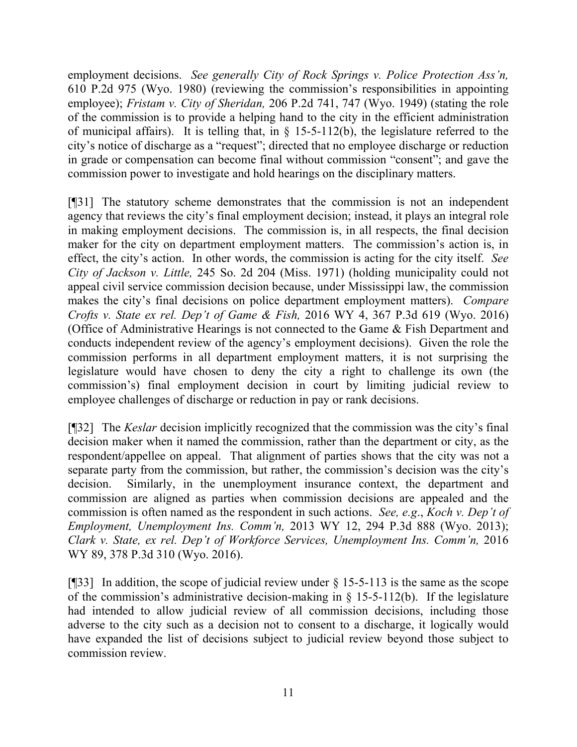employment decisions. *See generally City of Rock Springs v. Police Protection Ass'n,*  610 P.2d 975 (Wyo. 1980) (reviewing the commission's responsibilities in appointing employee); *Fristam v. City of Sheridan,* 206 P.2d 741, 747 (Wyo. 1949) (stating the role of the commission is to provide a helping hand to the city in the efficient administration of municipal affairs). It is telling that, in  $\S$  15-5-112(b), the legislature referred to the city's notice of discharge as a "request"; directed that no employee discharge or reduction in grade or compensation can become final without commission "consent"; and gave the commission power to investigate and hold hearings on the disciplinary matters.

[¶31] The statutory scheme demonstrates that the commission is not an independent agency that reviews the city's final employment decision; instead, it plays an integral role in making employment decisions. The commission is, in all respects, the final decision maker for the city on department employment matters. The commission's action is, in effect, the city's action. In other words, the commission is acting for the city itself. *See City of Jackson v. Little,* 245 So. 2d 204 (Miss. 1971) (holding municipality could not appeal civil service commission decision because, under Mississippi law, the commission makes the city's final decisions on police department employment matters). *Compare Crofts v. State ex rel. Dep't of Game & Fish,* 2016 WY 4, 367 P.3d 619 (Wyo. 2016) (Office of Administrative Hearings is not connected to the Game & Fish Department and conducts independent review of the agency's employment decisions). Given the role the commission performs in all department employment matters, it is not surprising the legislature would have chosen to deny the city a right to challenge its own (the commission's) final employment decision in court by limiting judicial review to employee challenges of discharge or reduction in pay or rank decisions.

[¶32] The *Keslar* decision implicitly recognized that the commission was the city's final decision maker when it named the commission, rather than the department or city, as the respondent/appellee on appeal. That alignment of parties shows that the city was not a separate party from the commission, but rather, the commission's decision was the city's decision. Similarly, in the unemployment insurance context, the department and commission are aligned as parties when commission decisions are appealed and the commission is often named as the respondent in such actions. *See, e.g*., *Koch v. Dep't of Employment, Unemployment Ins. Comm'n,* 2013 WY 12, 294 P.3d 888 (Wyo. 2013); *Clark v. State, ex rel. Dep't of Workforce Services, Unemployment Ins. Comm'n,* 2016 WY 89, 378 P.3d 310 (Wyo. 2016).

[ $[$ ][33] In addition, the scope of judicial review under  $\S$  15-5-113 is the same as the scope of the commission's administrative decision-making in  $\S$  15-5-112(b). If the legislature had intended to allow judicial review of all commission decisions, including those adverse to the city such as a decision not to consent to a discharge, it logically would have expanded the list of decisions subject to judicial review beyond those subject to commission review.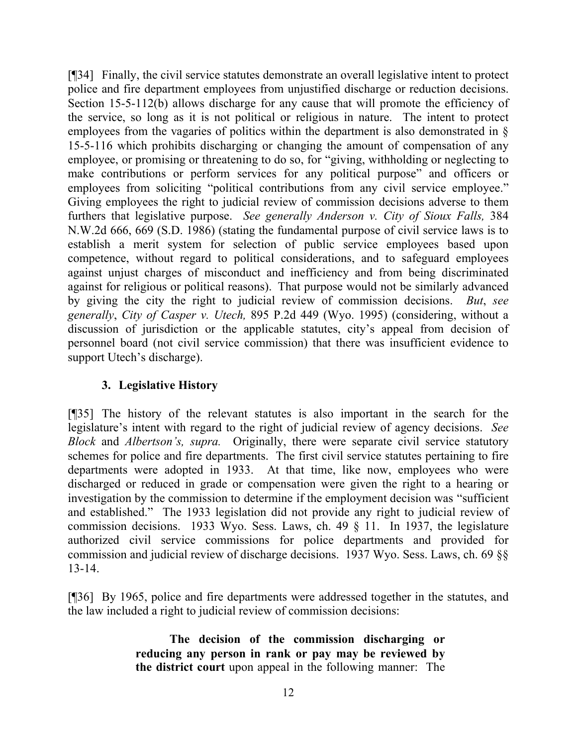[¶34] Finally, the civil service statutes demonstrate an overall legislative intent to protect police and fire department employees from unjustified discharge or reduction decisions. Section 15-5-112(b) allows discharge for any cause that will promote the efficiency of the service, so long as it is not political or religious in nature. The intent to protect employees from the vagaries of politics within the department is also demonstrated in § 15-5-116 which prohibits discharging or changing the amount of compensation of any employee, or promising or threatening to do so, for "giving, withholding or neglecting to make contributions or perform services for any political purpose" and officers or employees from soliciting "political contributions from any civil service employee." Giving employees the right to judicial review of commission decisions adverse to them furthers that legislative purpose. *See generally Anderson v. City of Sioux Falls,* 384 N.W.2d 666, 669 (S.D. 1986) (stating the fundamental purpose of civil service laws is to establish a merit system for selection of public service employees based upon competence, without regard to political considerations, and to safeguard employees against unjust charges of misconduct and inefficiency and from being discriminated against for religious or political reasons). That purpose would not be similarly advanced by giving the city the right to judicial review of commission decisions. *But*, *see generally*, *City of Casper v. Utech,* 895 P.2d 449 (Wyo. 1995) (considering, without a discussion of jurisdiction or the applicable statutes, city's appeal from decision of personnel board (not civil service commission) that there was insufficient evidence to support Utech's discharge).

# **3. Legislative History**

[¶35] The history of the relevant statutes is also important in the search for the legislature's intent with regard to the right of judicial review of agency decisions. *See Block* and *Albertson's, supra.* Originally, there were separate civil service statutory schemes for police and fire departments. The first civil service statutes pertaining to fire departments were adopted in 1933. At that time, like now, employees who were discharged or reduced in grade or compensation were given the right to a hearing or investigation by the commission to determine if the employment decision was "sufficient and established." The 1933 legislation did not provide any right to judicial review of commission decisions. 1933 Wyo. Sess. Laws, ch. 49 § 11. In 1937, the legislature authorized civil service commissions for police departments and provided for commission and judicial review of discharge decisions. 1937 Wyo. Sess. Laws, ch. 69 §§ 13-14.

[¶36] By 1965, police and fire departments were addressed together in the statutes, and the law included a right to judicial review of commission decisions:

> **The decision of the commission discharging or reducing any person in rank or pay may be reviewed by the district court** upon appeal in the following manner: The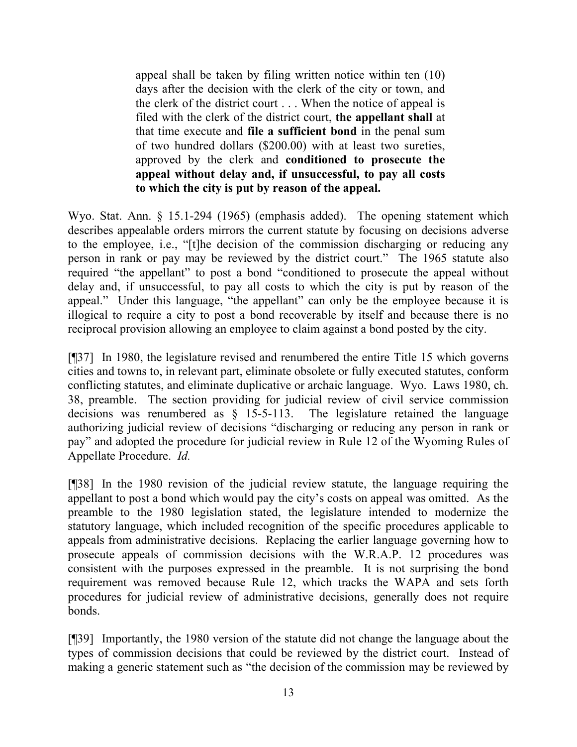appeal shall be taken by filing written notice within ten (10) days after the decision with the clerk of the city or town, and the clerk of the district court . . . When the notice of appeal is filed with the clerk of the district court, **the appellant shall** at that time execute and **file a sufficient bond** in the penal sum of two hundred dollars (\$200.00) with at least two sureties, approved by the clerk and **conditioned to prosecute the appeal without delay and, if unsuccessful, to pay all costs to which the city is put by reason of the appeal.**

Wyo. Stat. Ann. § 15.1-294 (1965) (emphasis added). The opening statement which describes appealable orders mirrors the current statute by focusing on decisions adverse to the employee, i.e., "[t]he decision of the commission discharging or reducing any person in rank or pay may be reviewed by the district court." The 1965 statute also required "the appellant" to post a bond "conditioned to prosecute the appeal without delay and, if unsuccessful, to pay all costs to which the city is put by reason of the appeal." Under this language, "the appellant" can only be the employee because it is illogical to require a city to post a bond recoverable by itself and because there is no reciprocal provision allowing an employee to claim against a bond posted by the city.

[¶37] In 1980, the legislature revised and renumbered the entire Title 15 which governs cities and towns to, in relevant part, eliminate obsolete or fully executed statutes, conform conflicting statutes, and eliminate duplicative or archaic language. Wyo. Laws 1980, ch. 38, preamble. The section providing for judicial review of civil service commission decisions was renumbered as § 15-5-113. The legislature retained the language authorizing judicial review of decisions "discharging or reducing any person in rank or pay" and adopted the procedure for judicial review in Rule 12 of the Wyoming Rules of Appellate Procedure. *Id.* 

[¶38] In the 1980 revision of the judicial review statute, the language requiring the appellant to post a bond which would pay the city's costs on appeal was omitted. As the preamble to the 1980 legislation stated, the legislature intended to modernize the statutory language, which included recognition of the specific procedures applicable to appeals from administrative decisions. Replacing the earlier language governing how to prosecute appeals of commission decisions with the W.R.A.P. 12 procedures was consistent with the purposes expressed in the preamble. It is not surprising the bond requirement was removed because Rule 12, which tracks the WAPA and sets forth procedures for judicial review of administrative decisions, generally does not require bonds.

[¶39] Importantly, the 1980 version of the statute did not change the language about the types of commission decisions that could be reviewed by the district court. Instead of making a generic statement such as "the decision of the commission may be reviewed by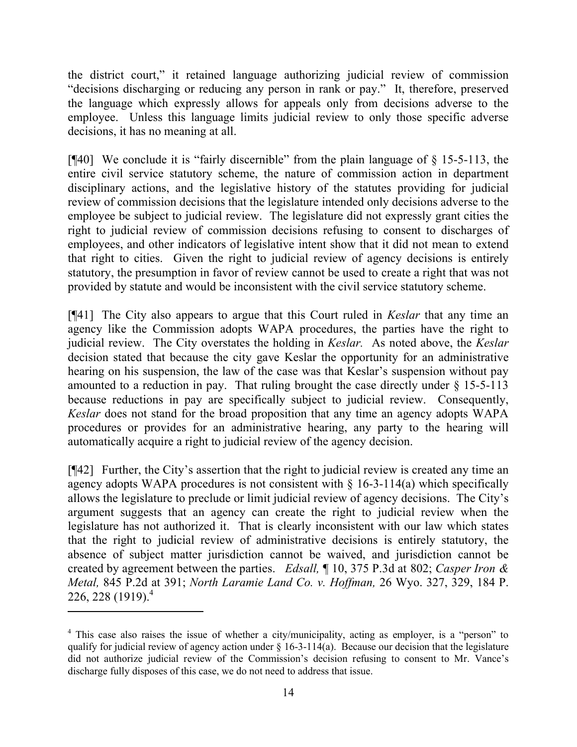the district court," it retained language authorizing judicial review of commission "decisions discharging or reducing any person in rank or pay." It, therefore, preserved the language which expressly allows for appeals only from decisions adverse to the employee. Unless this language limits judicial review to only those specific adverse decisions, it has no meaning at all.

[¶40] We conclude it is "fairly discernible" from the plain language of § 15-5-113, the entire civil service statutory scheme, the nature of commission action in department disciplinary actions, and the legislative history of the statutes providing for judicial review of commission decisions that the legislature intended only decisions adverse to the employee be subject to judicial review. The legislature did not expressly grant cities the right to judicial review of commission decisions refusing to consent to discharges of employees, and other indicators of legislative intent show that it did not mean to extend that right to cities. Given the right to judicial review of agency decisions is entirely statutory, the presumption in favor of review cannot be used to create a right that was not provided by statute and would be inconsistent with the civil service statutory scheme.

[¶41] The City also appears to argue that this Court ruled in *Keslar* that any time an agency like the Commission adopts WAPA procedures, the parties have the right to judicial review. The City overstates the holding in *Keslar.* As noted above, the *Keslar*  decision stated that because the city gave Keslar the opportunity for an administrative hearing on his suspension, the law of the case was that Keslar's suspension without pay amounted to a reduction in pay. That ruling brought the case directly under  $\S$  15-5-113 because reductions in pay are specifically subject to judicial review. Consequently, *Keslar* does not stand for the broad proposition that any time an agency adopts WAPA procedures or provides for an administrative hearing, any party to the hearing will automatically acquire a right to judicial review of the agency decision.

[¶42] Further, the City's assertion that the right to judicial review is created any time an agency adopts WAPA procedures is not consistent with  $\S$  16-3-114(a) which specifically allows the legislature to preclude or limit judicial review of agency decisions. The City's argument suggests that an agency can create the right to judicial review when the legislature has not authorized it. That is clearly inconsistent with our law which states that the right to judicial review of administrative decisions is entirely statutory, the absence of subject matter jurisdiction cannot be waived, and jurisdiction cannot be created by agreement between the parties. *Edsall,* ¶ 10, 375 P.3d at 802; *Casper Iron & Metal,* 845 P.2d at 391; *North Laramie Land Co. v. Hoffman,* 26 Wyo. 327, 329, 184 P. 226, 228 (1919).<sup>4</sup>

l

<sup>&</sup>lt;sup>4</sup> This case also raises the issue of whether a city/municipality, acting as employer, is a "person" to qualify for judicial review of agency action under  $\S 16-3-114(a)$ . Because our decision that the legislature did not authorize judicial review of the Commission's decision refusing to consent to Mr. Vance's discharge fully disposes of this case, we do not need to address that issue.